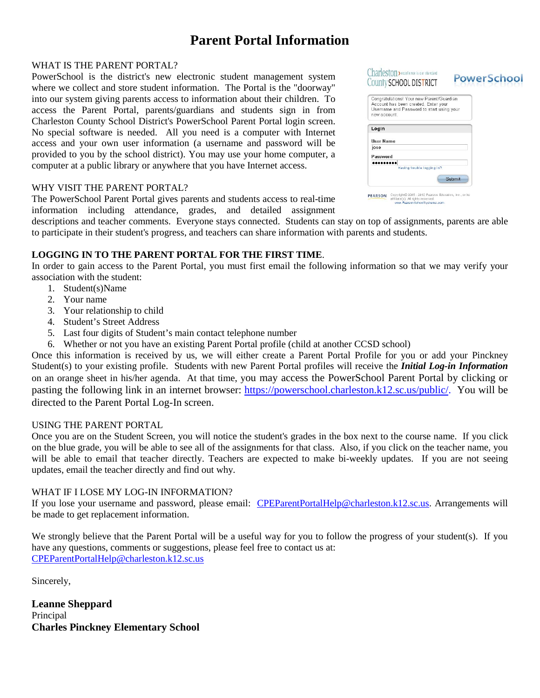### **Parent Portal Information**

### WHAT IS THE PARENT PORTAL?

PowerSchool is the district's new electronic student management system where we collect and store student information. The Portal is the "doorway" into our system giving parents access to information about their children. To access the Parent Portal, parents/guardians and students sign in from Charleston County School District's PowerSchool Parent Portal login screen. No special software is needed. All you need is a computer with Internet access and your own user information (a username and password will be provided to you by the school district). You may use your home computer, a computer at a public library or anywhere that you have Internet access.

### WHY VISIT THE PARENT PORTAL?

The PowerSchool Parent Portal gives parents and students access to real-time information including attendance, grades, and detailed assignment

|                  | Congratulations! Your new Parent/Guardian<br>Account has been created. Enter your |  |  |
|------------------|-----------------------------------------------------------------------------------|--|--|
| new account.     | Username and Password to start using your                                         |  |  |
| Login            |                                                                                   |  |  |
| <b>User Name</b> |                                                                                   |  |  |
| jose             |                                                                                   |  |  |
| Password         |                                                                                   |  |  |
|                  | Having trouble logging in?                                                        |  |  |

descriptions and teacher comments. Everyone stays connected. Students can stay on top of assignments, parents are able to participate in their student's progress, and teachers can share information with parents and students.

### **LOGGING IN TO THE PARENT PORTAL FOR THE FIRST TIME**.

In order to gain access to the Parent Portal, you must first email the following information so that we may verify your association with the student:

- 1. Student(s)Name
- 2. Your name
- 3. Your relationship to child
- 4. Student's Street Address
- 5. Last four digits of Student's main contact telephone number
- 6. Whether or not you have an existing Parent Portal profile (child at another CCSD school)

Once this information is received by us, we will either create a Parent Portal Profile for you or add your Pinckney Student(s) to your existing profile. Students with new Parent Portal profiles will receive the *Initial Log-in Information*  on an orange sheet in his/her agenda. At that time, you may access the PowerSchool Parent Portal by clicking or pasting the following link in an internet browser: [https://powerschool.charleston.k12.sc.us/public/.](https://powerschool.charleston.k12.sc.us/public/) You will be directed to the Parent Portal Log-In screen.

#### USING THE PARENT PORTAL

Once you are on the Student Screen, you will notice the student's grades in the box next to the course name. If you click on the blue grade, you will be able to see all of the assignments for that class. Also, if you click on the teacher name, you will be able to email that teacher directly. Teachers are expected to make bi-weekly updates. If you are not seeing updates, email the teacher directly and find out why.

### WHAT IF I LOSE MY LOG-IN INFORMATION?

If you lose your username and password, please email: [CPEParentPortalHelp@charleston.k12.sc.us.](mailto:CPEParentPortalHelp@charleston.k12.sc.us) Arrangements will be made to get replacement information.

We strongly believe that the Parent Portal will be a useful way for you to follow the progress of your student(s). If you have any questions, comments or suggestions, please feel free to contact us at: [CPEParentPortalHelp@charleston.k12.sc.us](mailto:CPEParentPortalHelp@charleston.k12.sc.us)

Sincerely,

**Leanne Sheppard** Principal **Charles Pinckney Elementary School**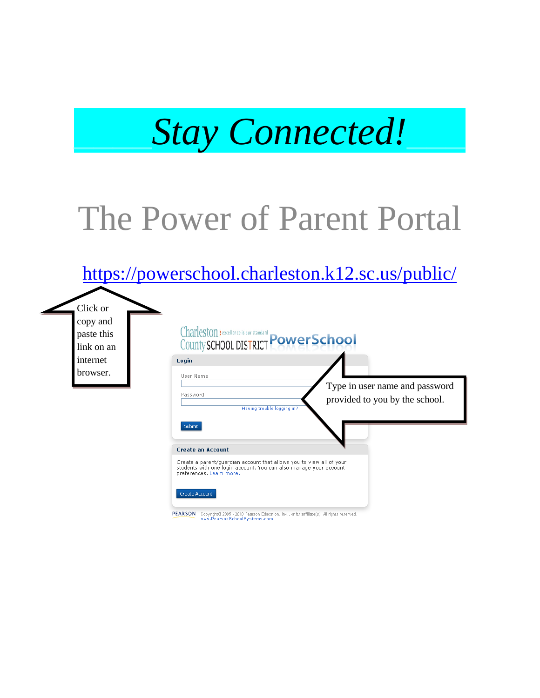

## The Power of Parent Portal

### <https://powerschool.charleston.k12.sc.us/public/>

Click or copy and paste this link on an internet browser.

| Login                              |                            |                                |
|------------------------------------|----------------------------|--------------------------------|
| User Name                          |                            | Type in user name and password |
| Password                           |                            | provided to you by the school. |
|                                    |                            |                                |
|                                    | Having trouble logging in? |                                |
| Submit<br><b>Create an Account</b> |                            |                                |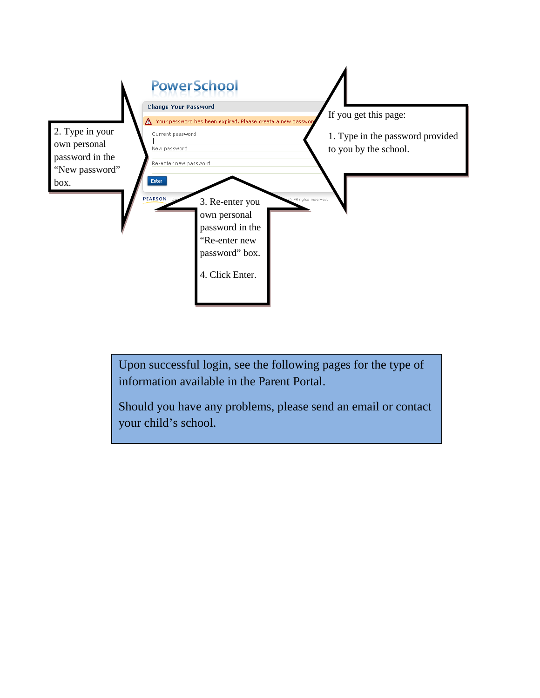

Upon successful login, see the following pages for the type of information available in the Parent Portal.

Should you have any problems, please send an email or contact your child's school.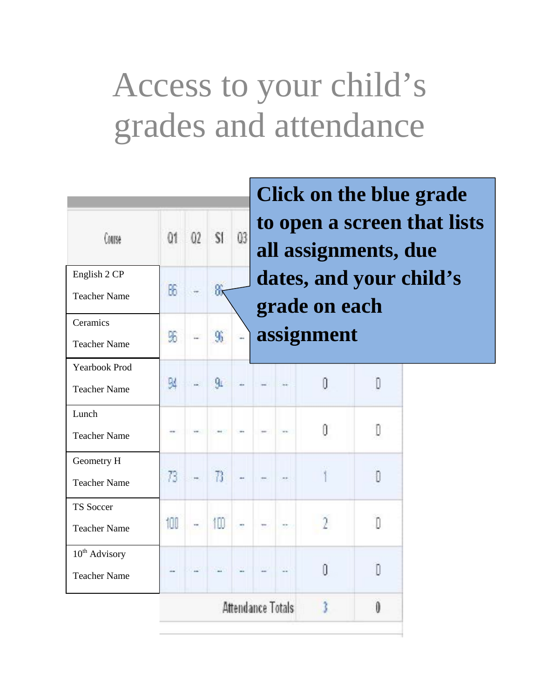# Access to your child's grades and attendance

| Course                                           | Q1  | 02             | $\mathbf{S}$   | 03 |                   |               | <b>Click on the blue grade</b><br>to open a screen that lists |  |
|--------------------------------------------------|-----|----------------|----------------|----|-------------------|---------------|---------------------------------------------------------------|--|
| English 2 CP<br><b>Teacher Name</b>              | 66  | $\overline{1}$ | 器              |    |                   | grade on each | all assignments, due<br>dates, and your child's               |  |
| Ceramics<br><b>Teacher Name</b>                  | 96  | g)             | 9 <sub>b</sub> | ç, |                   | assignment    |                                                               |  |
| <b>Yearbook Prod</b><br><b>Teacher Name</b>      | 94  |                | $q_{L}$        |    |                   | n             | D                                                             |  |
| Lunch<br><b>Teacher Name</b>                     |     |                |                |    |                   | ff            | D                                                             |  |
| Geometry H<br><b>Teacher Name</b>                | 73. |                | $\sqrt{3}$     |    |                   |               | Đ                                                             |  |
| <b>TS Soccer</b><br><b>Teacher Name</b>          | 100 | $\sim$         | 100            |    |                   |               | Л                                                             |  |
| 10 <sup>th</sup> Advisory<br><b>Teacher Name</b> |     |                |                |    |                   | Ũ             | n                                                             |  |
|                                                  |     |                |                |    | Attendance Totals |               | O                                                             |  |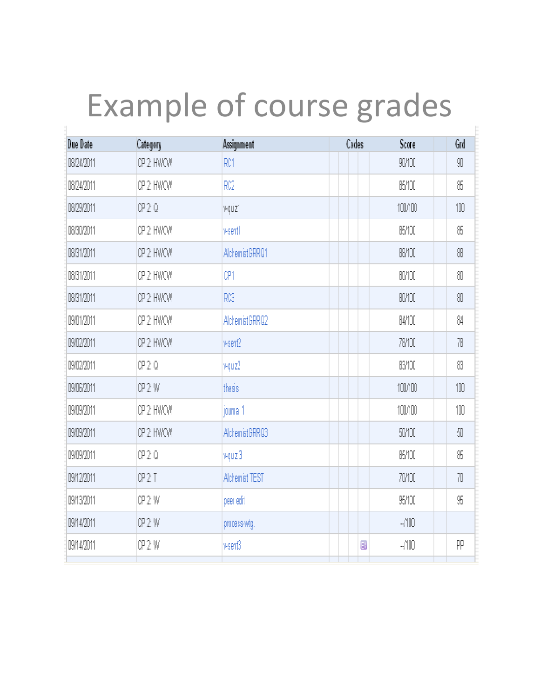# Example of course grades

| Due Date   | Category    | Assignment            | Codes | Score        | Grd |
|------------|-------------|-----------------------|-------|--------------|-----|
| 08/24/2011 | CP 2 HAVOAY | RC1                   |       | 90/100       | 90  |
| 08/24/2011 | OP 2 HANOAN | RC2                   |       | 85/100       | 86  |
| 08/29/2011 | CP 2 Q      | vquiz1                |       | 100/100      | 100 |
| 08/30/2011 | OP 2 HANOAN | vsent1                |       | 85/100       | 85  |
| 08/31/2011 | CP 2 HAVOAY | AlchemistGRRQ1        |       | <b>BBMOO</b> | 88  |
| 08/31/2011 | CP 2 HAVOAY | CP1                   |       | 80/100       | 80  |
| 08/31/2011 | CP 2 HAVOAY | RC3                   |       | <b>BOMOO</b> | 80  |
| 09/01/2011 | OP 2 HANOAN | AlchemistGRRQ2        |       | 04/100       | 84  |
| 09/02/2011 | CP 2 HWCW   | vsen2                 |       | 78/100       | 78  |
| 09/02/2011 | CP 2 Q      | vquiz2                |       | <b>BYO</b>   | 83  |
| 09/06/2011 | CP 2 W      | thesis                |       | 100/100      | 100 |
| 09/09/2011 | CP 2 HAVOAY | journal 1             |       | 100/100      | 100 |
| 09/09/2011 | CP 2 HANCAN | AlchemistGRRQ3        |       | 50/100       | 50  |
| 09/09/2011 | CP 2 Q      | vquiz 3               |       | 85/100       | 86  |
| 09/12/2011 | CP 2 T      | <b>Alchemist TEST</b> |       | 70/100       | 70  |
| 09/13/2011 | CP 2 W      | peer edit             |       | 95/100       | 95  |
| 09/14/2011 | CP 2 W      | process-wtg.          |       | $-700$       |     |
| 09/14/2011 | CP 2 W      | vsenß                 | B     | -/100        | PP  |
|            |             |                       |       |              |     |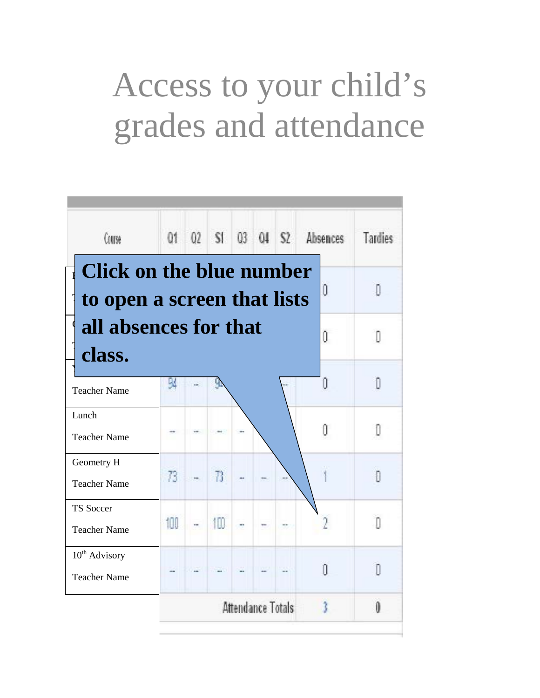# Access to your child's grades and attendance

| Course                                                         |     |    |                   |  | 01 02 S1 03 04 S2 Absences | <b>Tardies</b> |
|----------------------------------------------------------------|-----|----|-------------------|--|----------------------------|----------------|
| <b>Click on the blue number</b><br>to open a screen that lists |     |    |                   |  | 0                          | Л              |
| all absences for that<br>class.                                |     |    |                   |  | O                          |                |
| <b>Teacher Name</b>                                            | м   |    |                   |  |                            | n              |
| Lunch<br><b>Teacher Name</b>                                   |     |    |                   |  | ſ                          | n              |
| Geometry H<br><b>Teacher Name</b>                              | 73. | B  |                   |  |                            | Π              |
| <b>TS Soccer</b><br><b>Teacher Name</b>                        | 100 | 10 |                   |  |                            | Ŋ              |
| $10^{th}$ Advisory<br><b>Teacher Name</b>                      |     |    |                   |  | Ū                          | n              |
|                                                                |     |    | Attendance Totals |  | t                          | Û              |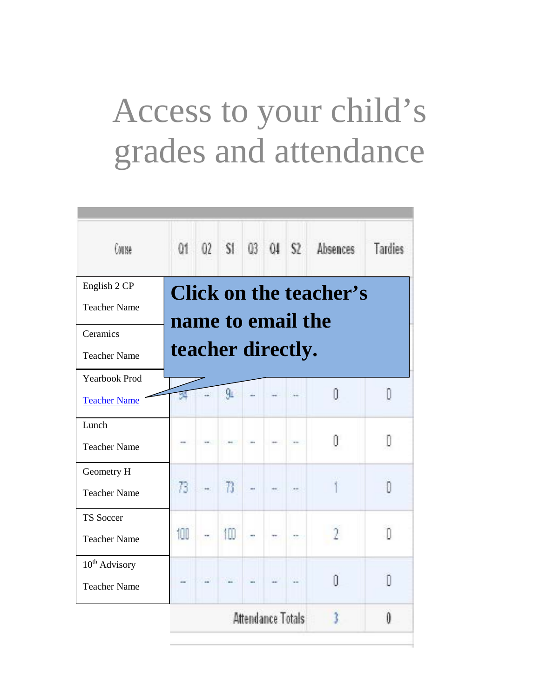# Access to your child's grades and attendance

| Course                                           |                   |                |  |                   | 01 02 S1 03 04 S2 Absences    | <b>Tardies</b> |
|--------------------------------------------------|-------------------|----------------|--|-------------------|-------------------------------|----------------|
| English 2 CP<br><b>Teacher Name</b>              | name to email the |                |  |                   | <b>Click on the teacher's</b> |                |
| Ceramics<br><b>Teacher Name</b>                  | teacher directly. |                |  |                   |                               |                |
| <b>Yearbook Prod</b><br><b>Teacher Name</b>      | Щ                 | g <sub>L</sub> |  |                   | Û                             | D              |
| Lunch<br><b>Teacher Name</b>                     |                   |                |  |                   | O                             | n              |
| Geometry H<br><b>Teacher Name</b>                | 73                | $\mathbb{R}$   |  |                   |                               | n              |
| <b>TS Soccer</b><br><b>Teacher Name</b>          | 100               | 100            |  |                   | λ                             | n              |
| 10 <sup>th</sup> Advisory<br><b>Teacher Name</b> |                   |                |  |                   | Ĥ                             | n              |
|                                                  |                   |                |  | Attendance Totals | t                             | Û              |